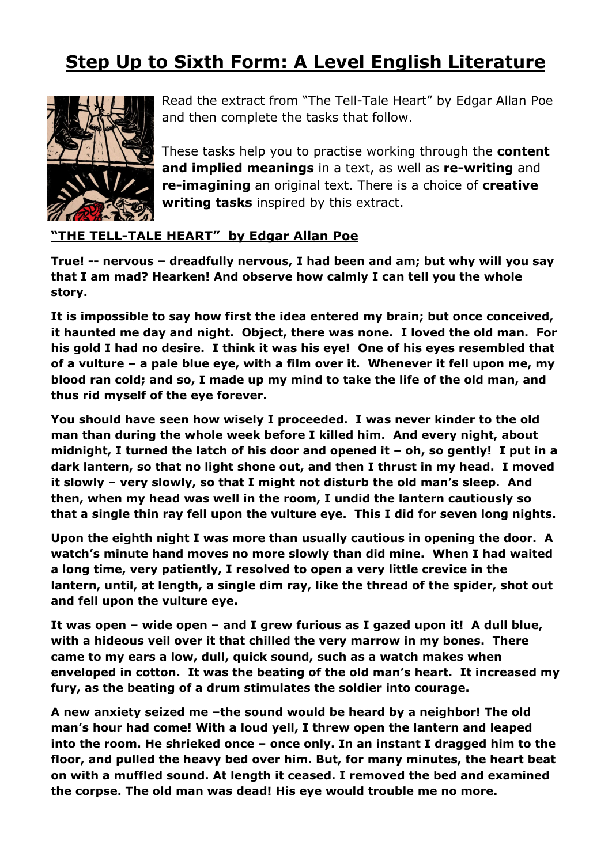## **Step Up to Sixth Form: A Level English Literature**



Read the extract from "The Tell-Tale Heart" by Edgar Allan Poe and then complete the tasks that follow.

These tasks help you to practise working through the **content and implied meanings** in a text, as well as **re-writing** and **re-imagining** an original text. There is a choice of **creative writing tasks** inspired by this extract.

## **"THE TELL-TALE HEART" by Edgar Allan Poe**

**True! -- nervous – dreadfully nervous, I had been and am; but why will you say that I am mad? Hearken! And observe how calmly I can tell you the whole story.**

**It is impossible to say how first the idea entered my brain; but once conceived, it haunted me day and night. Object, there was none. I loved the old man. For his gold I had no desire. I think it was his eye! One of his eyes resembled that of a vulture – a pale blue eye, with a film over it. Whenever it fell upon me, my blood ran cold; and so, I made up my mind to take the life of the old man, and thus rid myself of the eye forever.**

**You should have seen how wisely I proceeded. I was never kinder to the old man than during the whole week before I killed him. And every night, about midnight, I turned the latch of his door and opened it – oh, so gently! I put in a dark lantern, so that no light shone out, and then I thrust in my head. I moved it slowly – very slowly, so that I might not disturb the old man's sleep. And then, when my head was well in the room, I undid the lantern cautiously so that a single thin ray fell upon the vulture eye. This I did for seven long nights.**

**Upon the eighth night I was more than usually cautious in opening the door. A watch's minute hand moves no more slowly than did mine. When I had waited a long time, very patiently, I resolved to open a very little crevice in the lantern, until, at length, a single dim ray, like the thread of the spider, shot out and fell upon the vulture eye.**

**It was open – wide open – and I grew furious as I gazed upon it! A dull blue, with a hideous veil over it that chilled the very marrow in my bones. There came to my ears a low, dull, quick sound, such as a watch makes when enveloped in cotton. It was the beating of the old man's heart. It increased my fury, as the beating of a drum stimulates the soldier into courage.**

**A new anxiety seized me –the sound would be heard by a neighbor! The old man's hour had come! With a loud yell, I threw open the lantern and leaped into the room. He shrieked once – once only. In an instant I dragged him to the floor, and pulled the heavy bed over him. But, for many minutes, the heart beat on with a muffled sound. At length it ceased. I removed the bed and examined the corpse. The old man was dead! His eye would trouble me no more.**